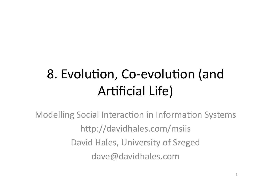# 8. Evolution, Co-evolution (and **Artificial Life)**

**Modelling Social Interaction in Information Systems** http://davidhales.com/msiis David Hales, University of Szeged dave@davidhales.com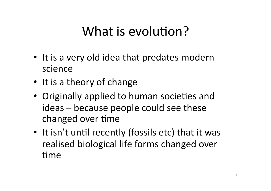### What is evolution?

- It is a very old idea that predates modern science
- It is a theory of change
- Originally applied to human societies and ideas – because people could see these changed over time
- It isn't until recently (fossils etc) that it was realised biological life forms changed over time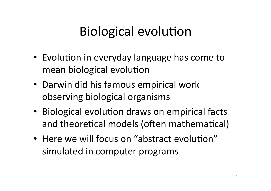## Biological evolution

- Evolution in everyday language has come to mean biological evolution
- Darwin did his famous empirical work observing biological organisms
- Biological evolution draws on empirical facts and theoretical models (often mathematical)
- Here we will focus on "abstract evolution" simulated in computer programs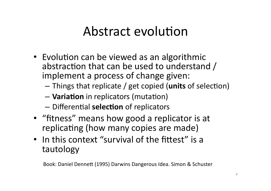### Abstract evolution

- Evolution can be viewed as an algorithmic abstraction that can be used to understand  $/$ implement a process of change given:
	- $-$  Things that replicate / get copied (**units** of selection)
	- $-$  **Variation** in replicators (mutation)
	- $-$  Differential **selection** of replicators
- "fitness" means how good a replicator is at replicating (how many copies are made)
- In this context "survival of the fittest" is a tautology

Book: Daniel Dennett (1995) Darwins Dangerous Idea. Simon & Schuster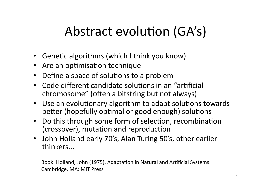# Abstract evolution (GA's)

- Genetic algorithms (which I think you know)
- Are an optimisation technique
- Define a space of solutions to a problem  $\bullet$
- Code different candidate solutions in an "artificial  $\bullet$ chromosome" (often a bitstring but not always)
- Use an evolutionary algorithm to adapt solutions towards better (hopefully optimal or good enough) solutions
- Do this through some form of selection, recombination  $\bullet$ (crossover), mutation and reproduction
- John Holland early 70's, Alan Turing 50's, other earlier thinkers...

Book: Holland, John (1975). Adaptation in Natural and Artificial Systems. Cambridge, MA: MIT Press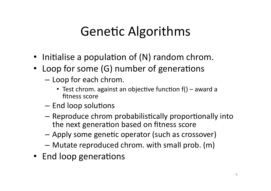# **Genetic Algorithms**

- Initialise a population of (N) random chrom.
- Loop for some (G) number of generations
	- Loop for each chrom.
		- Test chrom. against an objective function  $f()$  award a fitness score
	- End loop solutions
	- Reproduce chrom probabilistically proportionally into the next generation based on fitness score
	- Apply some genetic operator (such as crossover)
	- Mutate reproduced chrom. with small prob. (m)
- End loop generations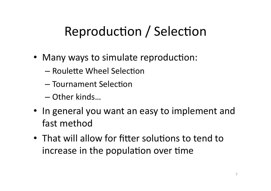# Reproduction / Selection

- Many ways to simulate reproduction:
	- Roulette Wheel Selection
	- Tournament Selection
	- Other kinds...
- In general you want an easy to implement and fast method
- That will allow for fitter solutions to tend to increase in the population over time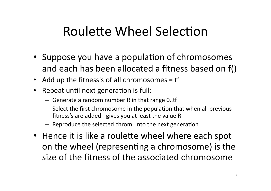### Roulette Wheel Selection

- Suppose you have a population of chromosomes and each has been allocated a fitness based on f()
- Add up the fitness's of all chromosomes = tf
- Repeat until next generation is full:  $\bullet$ 
	- Generate a random number R in that range  $0..$ tf
	- Select the first chromosome in the population that when all previous fitness's are added - gives you at least the value R
	- Reproduce the selected chrom. Into the next generation
- Hence it is like a roulette wheel where each spot on the wheel (representing a chromosome) is the size of the fitness of the associated chromosome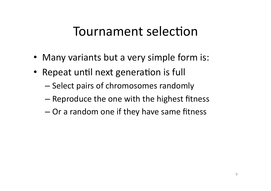### Tournament selection

- Many variants but a very simple form is:
- Repeat until next generation is full
	- $-$  Select pairs of chromosomes randomly
	- $-$  Reproduce the one with the highest fitness
	- $-$  Or a random one if they have same fitness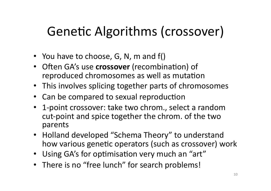# Genetic Algorithms (crossover)

- You have to choose, G, N, m and  $f()$
- Often GA's use **crossover** (recombination) of reproduced chromosomes as well as mutation
- This involves splicing together parts of chromosomes
- Can be compared to sexual reproduction
- 1-point crossover: take two chrom., select a random cut-point and spice together the chrom. of the two parents#
- Holland developed "Schema Theory" to understand how various genetic operators (such as crossover) work
- Using GA's for optimisation very much an "art"
- There is no "free lunch" for search problems!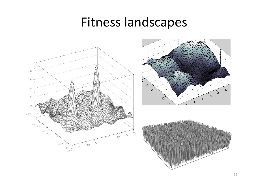#### Fitness landscapes





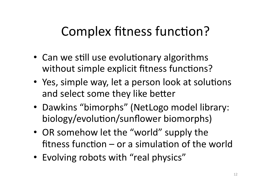## Complex fitness function?

- Can we still use evolutionary algorithms without simple explicit fitness functions?
- Yes, simple way, let a person look at solutions and select some they like better
- Dawkins "bimorphs" (NetLogo model library: biology/evolution/sunflower biomorphs)
- OR somehow let the "world" supply the fitness function – or a simulation of the world
- Evolving robots with "real physics"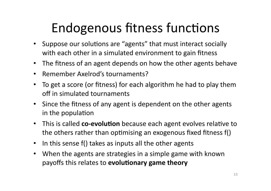# Endogenous fitness functions

- Suppose our solutions are "agents" that must interact socially with each other in a simulated environment to gain fitness
- The fitness of an agent depends on how the other agents behave
- Remember Axelrod's tournaments?  $\bullet$
- To get a score (or fitness) for each algorithm he had to play them  $\bullet$ off in simulated tournaments
- Since the fitness of any agent is dependent on the other agents in the population
- This is called co-evolution because each agent evolves relative to the others rather than optimising an exogenous fixed fitness f()
- In this sense f() takes as inputs all the other agents  $\bullet$
- When the agents are strategies in a simple game with known  $\bullet$ payoffs this relates to evolutionary game theory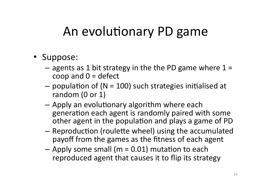### An evolutionary PD game

- Suppose:
	- agents as 1 bit strategy in the the PD game where  $1 =$ coop and  $0 =$  defect
	- population of ( $N = 100$ ) such strategies initialised at random (0 or 1)
	- Apply an evolutionary algorithm where each generation each agent is randomly paired with some other agent in the population and plays a game of PD
	- Reproduction (roulette wheel) using the accumulated payoff from the games as the fitness of each agent
	- $-$  Apply some small (m = 0.01) mutation to each reproduced agent that causes it to flip its strategy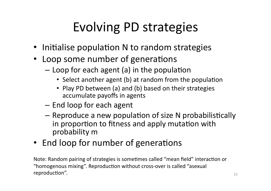# Evolving PD strategies

- Initialise population N to random strategies
- Loop some number of generations
	- $-$  Loop for each agent (a) in the population
		- Select another agent (b) at random from the population
		- Play PD between (a) and (b) based on their strategies accumulate payoffs in agents
	- $-$  End loop for each agent
	- $-$  Reproduce a new population of size N probabilistically in proportion to fitness and apply mutation with probability m
- End loop for number of generations

Note: Random pairing of strategies is sometimes called "mean field" interaction or "homogenous mixing". Reproduction without cross-over is called "asexual  $reproduction''.$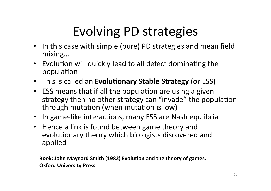# Evolving PD strategies

- In this case with simple (pure) PD strategies and mean field mixing...
- Evolution will quickly lead to all defect dominating the population
- This is called an **Evolutionary Stable Strategy** (or ESS)
- ESS means that if all the population are using a given strategy then no other strategy can "invade" the population through mutation (when mutation is low)
- In game-like interactions, many ESS are Nash equlibria
- Hence a link is found between game theory and evolutionary theory which biologists discovered and applied

Book: John Maynard Smith (1982) Evolution and the theory of games. **Oxford University Press**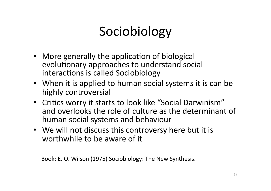# Sociobiology

- More generally the application of biological evolutionary approaches to understand social interactions is called Sociobiology
- When it is applied to human social systems it is can be highly controversial
- Critics worry it starts to look like "Social Darwinism" and overlooks the role of culture as the determinant of human social systems and behaviour
- We will not discuss this controversy here but it is worthwhile to be aware of it

Book: E. O. Wilson (1975) Sociobiology: The New Synthesis.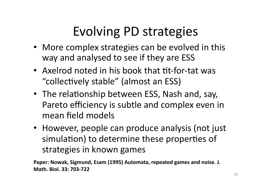# Evolving PD strategies

- More complex strategies can be evolved in this way and analysed to see if they are ESS
- Axelrod noted in his book that tit-for-tat was "collectively stable" (almost an ESS)
- The relationship between ESS, Nash and, say, Pareto efficiency is subtle and complex even in mean field models
- However, people can produce analysis (not just simulation) to determine these properties of strategies in known games

Paper: Nowak, Sigmund, Esam (1995) Automata, repeated games and noise. J. **Math.** Biol. 33: 703-722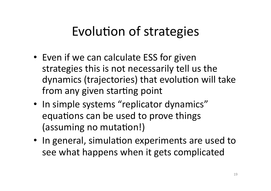### Evolution of strategies

- Even if we can calculate ESS for given strategies this is not necessarily tell us the dynamics (trajectories) that evolution will take from any given starting point
- In simple systems "replicator dynamics" equations can be used to prove things (assuming no mutation!)
- In general, simulation experiments are used to see what happens when it gets complicated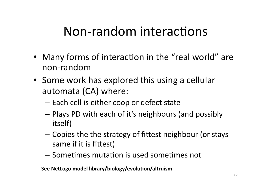### Non-random interactions

- Many forms of interaction in the "real world" are non-random#
- Some work has explored this using a cellular automata (CA) where:
	- $-$  Each cell is either coop or defect state
	- Plays PD with each of it's neighbours (and possibly itself)
	- $-$  Copies the the strategy of fittest neighbour (or stays same if it is fittest)
	- $-$  Sometimes mutation is used sometimes not

See NetLogo model library/biology/evolution/altruism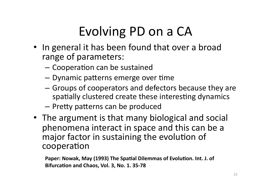# Evolving PD on a CA

- In general it has been found that over a broad range of parameters:
	- Cooperation can be sustained
	- Dynamic patterns emerge over time
	- Groups of cooperators and defectors because they are spatially clustered create these interesting dynamics
	- Pretty patterns can be produced
- The argument is that many biological and social phenomena interact in space and this can be a major factor in sustaining the evolution of cooperation

Paper: Nowak, May (1993) The Spatial Dilemmas of Evolution. Int. J. of Bifurcation and Chaos, Vol. 3, No. 1. 35-78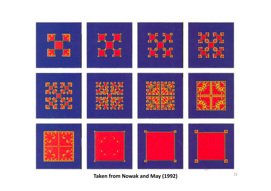

**Taken from Nowak and May (1992)** 22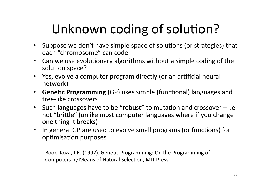# Unknown coding of solution?

- Suppose we don't have simple space of solutions (or strategies) that each "chromosome" can code
- Can we use evolutionary algorithms without a simple coding of the  $\overline{ }$ solution space?
- Yes, evolve a computer program directly (or an artificial neural network)
- **Genetic Programming** (GP) uses simple (functional) languages and tree-like crossovers
- Such languages have to be "robust" to mutation and crossover  $-$  i.e. not "brittle" (unlike most computer languages where if you change one thing it breaks)
- In general GP are used to evolve small programs (or functions) for optimisation purposes

Book: Koza, J.R. (1992). Genetic Programming: On the Programming of Computers by Means of Natural Selection, MIT Press.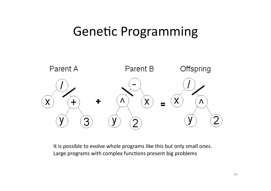#### Genetic Programming



It is possible to evolve whole programs like this but only small ones. Large programs with complex functions present big problems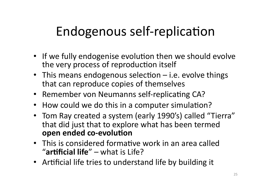# Endogenous self-replication

- If we fully endogenise evolution then we should evolve the very process of reproduction itself
- This means endogenous selection i.e. evolve things that can reproduce copies of themselves
- Remember von Neumanns self-replicating CA?
- How could we do this in a computer simulation?
- Tom Ray created a system (early 1990's) called "Tierra" that did just that to explore what has been termed open ended co-evolution
- This is considered formative work in an area called "**artificial life**" – what is Life?
- Artificial life tries to understand life by building it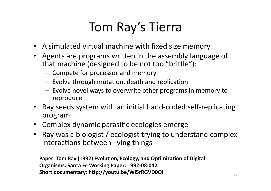# Tom Ray's Tierra

- A simulated virtual machine with fixed size memory
- Agents are programs written in the assembly language of that machine (designed to be not too "brittle"):
	- Compete for processor and memory
	- Evolve through mutation, death and replication
	- Evolve novel ways to overwrite other programs in memory to reproduce
- Ray seeds system with an initial hand-coded self-replicating program
- Complex dynamic parasitic ecologies emerge
- Ray was a biologist / ecologist trying to understand complex interactions between living things

Paper: Tom Ray (1992) Evolution, Ecology, and Optimization of Digital Organisms. Santa Fe Working Paper: 1992-08-042 Short documentary: http://youtu.be/WI5rRGVD0QI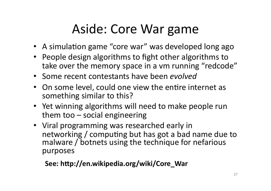## Aside: Core War game

- A simulation game "core war" was developed long ago
- People design algorithms to fight other algorithms to take over the memory space in a vm running "redcode"
- Some recent contestants have been *evolved*
- On some level, could one view the entire internet as something similar to this?
- Yet winning algorithms will need to make people run them too – social engineering
- Viral programming was researched early in networking / computing but has got a bad name due to malware / botnets using the technique for nefarious purposes

See: http://en.wikipedia.org/wiki/Core\_War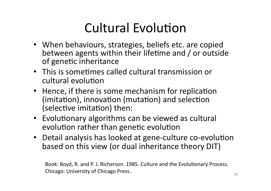# Cultural Evolution

- When behaviours, strategies, beliefs etc. are copied between agents within their lifetime and  $/$  or outside of genetic inheritance
- This is sometimes called cultural transmission or cultural evolution
- Hence, if there is some mechanism for replication (imitation), innovation (mutation) and selection (selective imitation) then:
- Evolutionary algorithms can be viewed as cultural evolution rather than genetic evolution
- Detail analysis has looked at gene-culture co-evolution based on this view (or dual inheritance theory DIT)

Book: Boyd, R. and P. J. Richerson. 1985. Culture and the Evolutionary Process. Chicago: University of Chicago Press. 28 and 28 and 28 and 28 and 28 and 28 and 28 and 28 and 28 and 28 and 28 and 28 and 28 and 28 and 28 and 28 and 28 and 28 and 28 and 28 and 28 and 28 and 28 and 28 and 28 and 28 and 2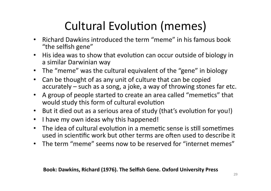### Cultural Evolution (memes)

- Richard Dawkins introduced the term "meme" in his famous book "the selfish gene"
- His idea was to show that evolution can occur outside of biology in a similar Darwinian way
- The "meme" was the cultural equivalent of the "gene" in biology
- Can be thought of as any unit of culture that can be copied accurately – such as a song, a joke, a way of throwing stones far etc.
- A group of people started to create an area called "memetics" that would study this form of cultural evolution
- But it died out as a serious area of study (that's evolution for you!)
- I have my own ideas why this happened!
- The idea of cultural evolution in a memetic sense is still sometimes used in scientific work but other terms are often used to describe it
- The term "meme" seems now to be reserved for "internet memes"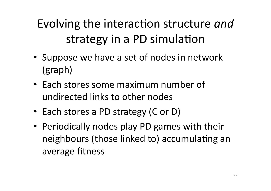Evolving the interaction structure *and* strategy in a PD simulation

- Suppose we have a set of nodes in network  $(graph)$
- Each stores some maximum number of undirected links to other nodes
- Each stores a PD strategy (C or D)
- Periodically nodes play PD games with their neighbours (those linked to) accumulating an average fitness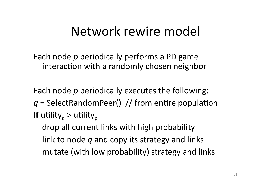#### Network rewire model

Each node *p* periodically performs a PD game interaction with a randomly chosen neighbor

Each node *p* periodically executes the following:  $q =$  SelectRandomPeer() // from entire population **If** utility<sub>a</sub> > utility<sub>p</sub> drop all current links with high probability link to node *q* and copy its strategy and links mutate (with low probability) strategy and links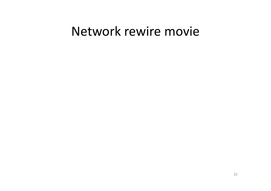#### Network rewire movie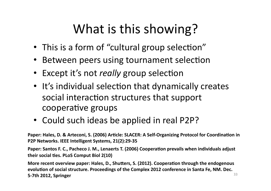# What is this showing?

- This is a form of "cultural group selection"
- Between peers using tournament selection
- Except it's not *really* group selection
- It's individual selection that dynamically creates social interaction structures that support cooperative groups
- Could such ideas be applied in real P2P?

Paper: Hales, D. & Arteconi, S. (2006) Article: SLACER: A Self-Organizing Protocol for Coordination in **P2P Networks. IEEE Intelligent Systems, 21(2):29-35** 

**Paper: Santos F. C., Pacheco J. M., Lenaerts T. (2006) Cooperation prevails when individuals adjust their social ties. PLoS Comput Biol 2(10)** 

**More recent overview paper: Hales, D., Shutters, S. (2012). Cooperation through the endogenous** evolution of social structure. Proceedings of the Complex 2012 conference in Santa Fe, NM. Dec. **5-7th 2012, Springer** 33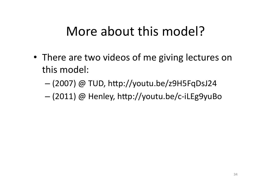#### More about this model?

- There are two videos of me giving lectures on this model:
	- $-$  (2007) @ TUD, http://youtu.be/z9H5FqDsJ24
	- $-$  (2011) @ Henley, http://youtu.be/c-iLEg9yuBo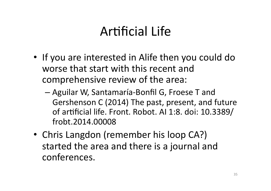### Artificial Life

- If you are interested in Alife then you could do worse that start with this recent and comprehensive review of the area:
	- Aguilar W, Santamaría-Bonfil G, Froese T and Gershenson C (2014) The past, present, and future of artificial life. Front. Robot. AI 1:8. doi: 10.3389/ frobt.2014.00008#
- Chris Langdon (remember his loop CA?) started the area and there is a journal and conferences.#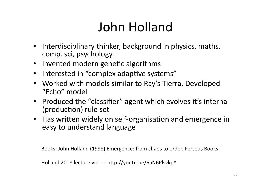# John Holland

- Interdisciplinary thinker, background in physics, maths, comp. sci, psychology.
- Invented modern genetic algorithms
- Interested in "complex adaptive systems"
- Worked with models similar to Ray's Tierra. Developed "Echo" model
- Produced the "classifier" agent which evolves it's internal (production) rule set
- Has written widely on self-organisation and emergence in easy to understand language

Books: John Holland (1998) Emergence: from chaos to order. Perseus Books.

Holland 2008 lecture video: http://youtu.be/6aN6PlsvkpY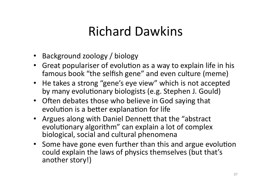### Richard#Dawkins#

- Background zoology / biology
- Great populariser of evolution as a way to explain life in his famous book "the selfish gene" and even culture (meme)
- He takes a strong "gene's eye view" which is not accepted by many evolutionary biologists (e.g. Stephen J. Gould)
- Often debates those who believe in God saying that evolution is a better explanation for life
- Argues along with Daniel Dennett that the "abstract evolutionary algorithm" can explain a lot of complex biological, social and cultural phenomena
- Some have gone even further than this and argue evolution could explain the laws of physics themselves (but that's another story!)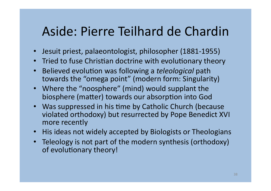#### Aside: Pierre Teilhard de Chardin

- Jesuit priest, palaeontologist, philosopher (1881-1955)
- Tried to fuse Christian doctrine with evolutionary theory
- Believed evolution was following a *teleological* path towards the "omega point" (modern form: Singularity)
- Where the "noosphere" (mind) would supplant the biosphere (matter) towards our absorption into God
- Was suppressed in his time by Catholic Church (because violated orthodoxy) but resurrected by Pope Benedict XVI more recently
- His ideas not widely accepted by Biologists or Theologians
- Teleology is not part of the modern synthesis (orthodoxy) of evolutionary theory!